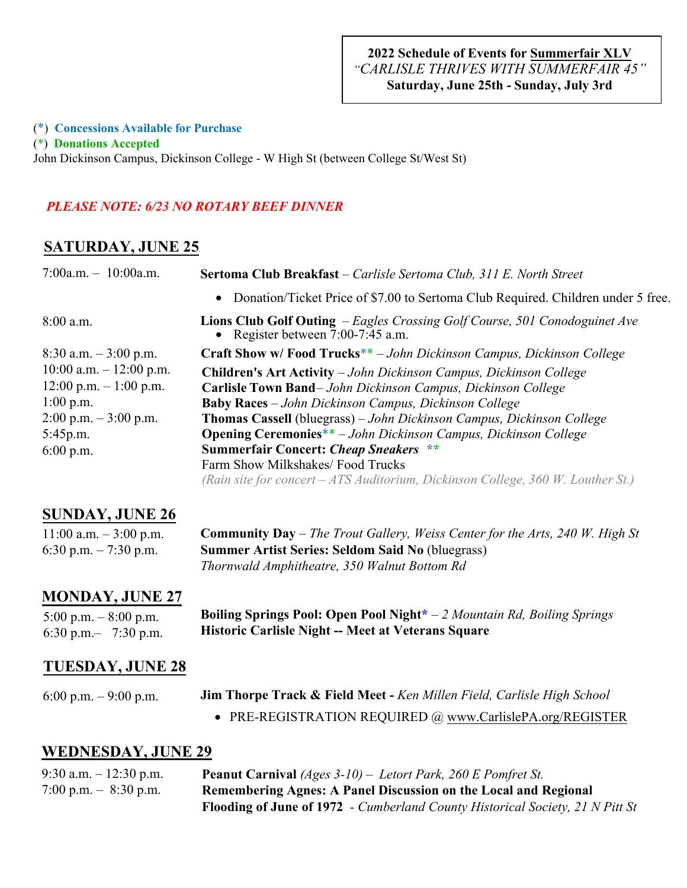#### (\*) **Concessions Available for Purchase**

(\*) **Donations Accepted**

John Dickinson Campus, Dickinson College - W High St (between College St/West St)

#### *PLEASE NOTE: 6/23 NO ROTARY BEEF DINNER*

### **SATURDAY, JUNE 25**

| 7:00a.m. $-10:00$ a.m.     | Sertoma Club Breakfast - Carlisle Sertoma Club, 311 E. North Street                                                      |
|----------------------------|--------------------------------------------------------------------------------------------------------------------------|
|                            | • Donation/Ticket Price of \$7.00 to Sertoma Club Required. Children under 5 free.                                       |
| $8:00$ a.m.                | <b>Lions Club Golf Outing</b> – Eagles Crossing Golf Course, 501 Conodoguinet Ave<br>• Register between $7:00-7:45$ a.m. |
| $8:30$ a.m. $-3:00$ p.m.   | <b>Craft Show w/Food Trucks**</b> - John Dickinson Campus, Dickinson College                                             |
| $10:00$ a.m. $-12:00$ p.m. | <b>Children's Art Activity</b> – John Dickinson Campus, Dickinson College                                                |
| $12:00$ p.m. $-1:00$ p.m.  | Carlisle Town Band-John Dickinson Campus, Dickinson College                                                              |
| $1:00$ p.m.                | <b>Baby Races</b> – John Dickinson Campus, Dickinson College                                                             |
| $2:00$ p.m. $-3:00$ p.m.   | Thomas Cassell (bluegrass) - John Dickinson Campus, Dickinson College                                                    |
| 5:45p.m.                   | <b>Opening Ceremonies**</b> - John Dickinson Campus, Dickinson College                                                   |
| $6:00$ p.m.                | <b>Summerfair Concert: Cheap Sneakers **</b>                                                                             |
|                            | Farm Show Milkshakes/ Food Trucks                                                                                        |
|                            | (Rain site for concert $-ATS$ Auditorium, Dickinson College, 360 W. Louther St.)                                         |
|                            |                                                                                                                          |

## **SUNDAY, JUNE 26**

| $11:00$ a.m. $-3:00$ p.m. | <b>Community Day</b> – The Trout Gallery, Weiss Center for the Arts, 240 W. High St |
|---------------------------|-------------------------------------------------------------------------------------|
| 6:30 p.m. $-7:30$ p.m.    | <b>Summer Artist Series: Seldom Said No (bluegrass)</b>                             |
|                           | Thornwald Amphitheatre, 350 Walnut Bottom Rd                                        |

### **MONDAY, JUNE 27**

5:00 p.m.  $-8:00$  p.m. 6:30 p.m.– 7:30 p.m. **Boiling Springs Pool: Open Pool Night\*** – *2 Mountain Rd, Boiling Springs*  **Historic Carlisle Night -- Meet at Veterans Square**

### **TUESDAY, JUNE 28**

6:00 p.m. – 9:00 p.m. **Jim Thorpe Track & Field Meet -** *Ken Millen Field, Carlisle High School*

• PRE-REGISTRATION REQUIRED @ www.CarlislePA.org/REGISTER

### **WEDNESDAY, JUNE 29**

| 9:30 a.m. $-12:30$ p.m. | <b>Peanut Carnival</b> (Ages $3-10$ ) – Letort Park, 260 E Pomfret St.               |
|-------------------------|--------------------------------------------------------------------------------------|
| 7:00 p.m. $-$ 8:30 p.m. | Remembering Agnes: A Panel Discussion on the Local and Regional                      |
|                         | <b>Flooding of June of 1972</b> - Cumberland County Historical Society, 21 N Pitt St |